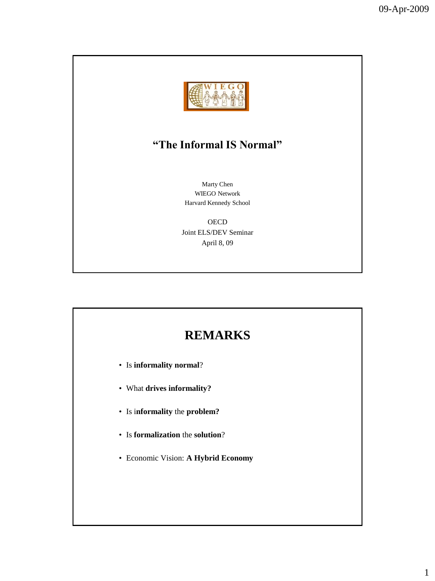

### **"The Informal IS Normal"**

Marty Chen WIEGO Network Harvard Kennedy School

**OECD** Joint ELS/DEV Seminar April 8, 09

## **REMARKS**

- Is **informality normal**?
- What **drives informality?**
- Is i**nformality** the **problem?**
- Is **formalization** the **solution**?
- Economic Vision: **A Hybrid Economy**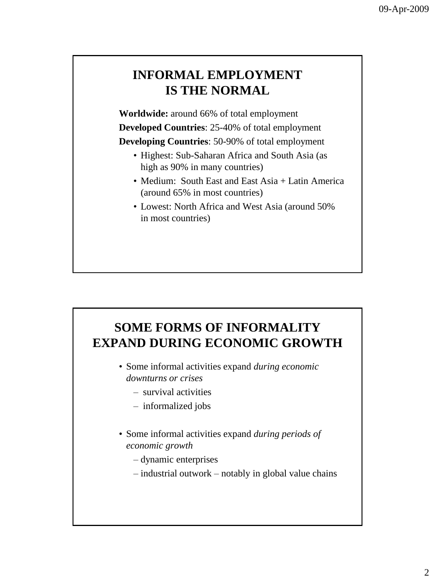## **INFORMAL EMPLOYMENT IS THE NORMAL**

**Worldwide:** around 66% of total employment **Developed Countries**: 25-40% of total employment **Developing Countries**: 50-90% of total employment

- Highest: Sub-Saharan Africa and South Asia (as high as 90% in many countries)
- Medium: South East and East Asia + Latin America (around 65% in most countries)
- Lowest: North Africa and West Asia (around 50% in most countries)

# **SOME FORMS OF INFORMALITY EXPAND DURING ECONOMIC GROWTH**

- Some informal activities expand *during economic downturns or crises*
	- survival activities
	- informalized jobs
- Some informal activities expand *during periods of economic growth*
	- dynamic enterprises
	- industrial outwork notably in global value chains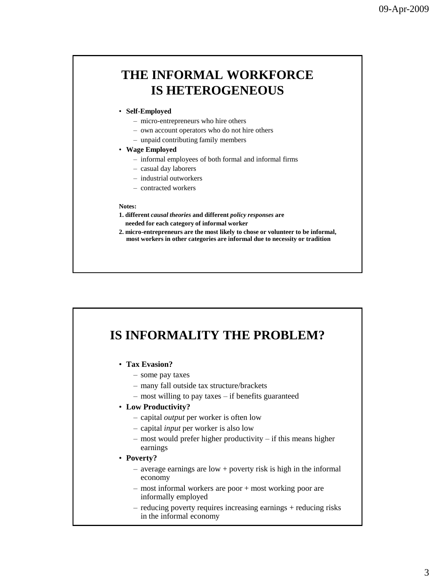### **THE INFORMAL WORKFORCE IS HETEROGENEOUS**

#### • **Self-Employed**

- micro-entrepreneurs who hire others
- own account operators who do not hire others
- unpaid contributing family members
- **Wage Employed**
	- informal employees of both formal and informal firms
	- casual day laborers
	- industrial outworkers
	- contracted workers

#### **Notes:**

- **1. different** *causal theories* **and different** *policy responses* **are needed for each category of informal worker**
- **2. micro-entrepreneurs are the most likely to chose or volunteer to be informal, most workers in other categories are informal due to necessity or tradition**

## **IS INFORMALITY THE PROBLEM?**

- **Tax Evasion?**
	- some pay taxes
	- many fall outside tax structure/brackets
	- most willing to pay taxes if benefits guaranteed
- **Low Productivity?**
	- capital *output* per worker is often low
	- capital *input* per worker is also low
	- most would prefer higher productivity if this means higher earnings
- **Poverty?**
	- average earnings are low + poverty risk is high in the informal economy
	- most informal workers are poor + most working poor are informally employed
	- reducing poverty requires increasing earnings + reducing risks in the informal economy